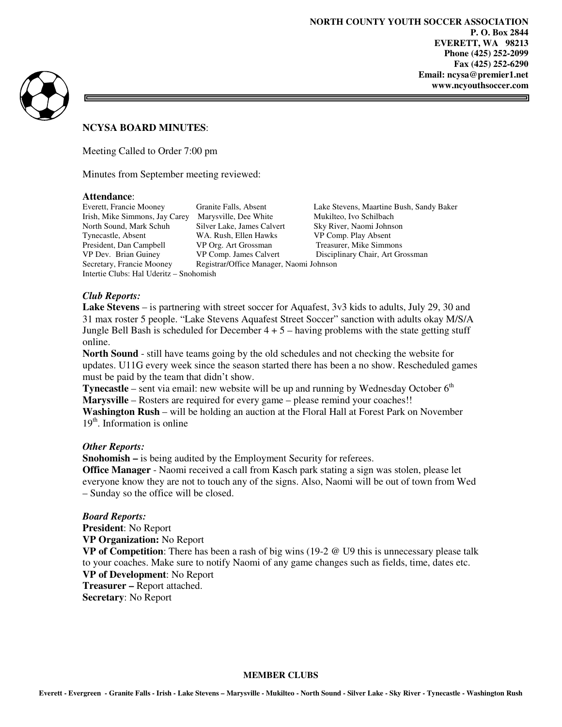

#### **NCYSA BOARD MINUTES**:

Meeting Called to Order 7:00 pm

Minutes from September meeting reviewed:

#### **Attendance**:

Intertie Clubs: Hal Uderitz – Snohomish

Irish, Mike Simmons, Jay Carey Marysville, Dee White Mukilteo, Ivo Schilbach<br>North Sound, Mark Schuh Silver Lake, James Calvert Sky River, Naomi Johnson Silver Lake, James Calvert Tynecastle, Absent WA. Rush, Ellen Hawks VP Comp. Play Absent President, Dan Campbell VP Org. Art Grossman Treasurer, Mike Simmons VP Dev. Brian Guiney VP Comp. James Calvert Disciplinary Chair, Art Grossman Secretary, Francie Mooney Registrar/Office Manager, Naomi Johnson

Everett, Francie Mooney Granite Falls, Absent Lake Stevens, Maartine Bush, Sandy Baker

# *Club Reports:*

**Lake Stevens** – is partnering with street soccer for Aquafest, 3v3 kids to adults, July 29, 30 and 31 max roster 5 people. "Lake Stevens Aquafest Street Soccer" sanction with adults okay M/S/A Jungle Bell Bash is scheduled for December  $4 + 5$  – having problems with the state getting stuff online.

**North Sound** - still have teams going by the old schedules and not checking the website for updates. U11G every week since the season started there has been a no show. Rescheduled games must be paid by the team that didn't show.

**Tynecastle** – sent via email: new website will be up and running by Wednesday October  $6<sup>th</sup>$ **Marysville** – Rosters are required for every game – please remind your coaches!!

**Washington Rush** – will be holding an auction at the Floral Hall at Forest Park on November  $19<sup>th</sup>$ . Information is online

## *Other Reports:*

**Snohomish –** is being audited by the Employment Security for referees.

**Office Manager** - Naomi received a call from Kasch park stating a sign was stolen, please let everyone know they are not to touch any of the signs. Also, Naomi will be out of town from Wed – Sunday so the office will be closed.

## *Board Reports:*

**President**: No Report **VP Organization:** No Report **VP of Competition**: There has been a rash of big wins (19-2 @ U9 this is unnecessary please talk to your coaches. Make sure to notify Naomi of any game changes such as fields, time, dates etc. **VP of Development**: No Report

**Treasurer –** Report attached.

**Secretary**: No Report

#### **MEMBER CLUBS**